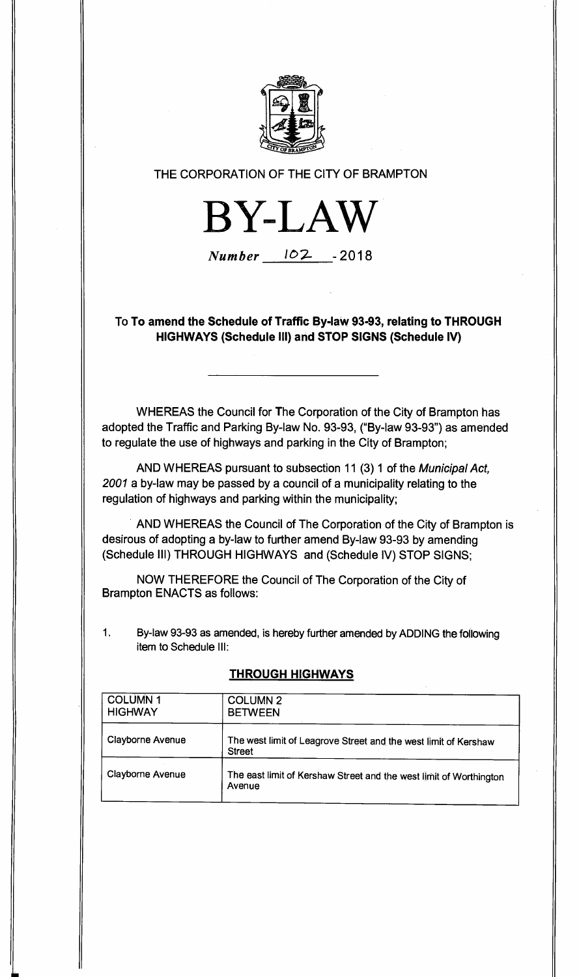

## **THE CORPORATION OF THE CITY OF BRAMPTON**



 $Number$   $102$  -2018

**To To amend the Schedule of Traffic By-law 93-93, relating to THROUGH HIGHWAYS (Schedule III) and STOP SIGNS (Schedule IV)** 

**WHEREAS the Council for The Corporation of the City of Brampton has adopted the Traffic and Parking By-law No. 93-93, ("By-law 93-93") as amended to regulate the use of highways and parking in the City of Brampton;** 

**AND WHEREAS pursuant to subsection 11 (3) 1 of the Municipal Act, 2001 a by-law may be passed by a council of a municipality relating to the regulation of highways and parking within the municipality;** 

**AND WHEREAS the Council of The Corporation of the City of Brampton is desirous of adopting a by-law to further amend By-law 93-93 by amending (Schedule III) THROUGH HIGHWAYS and (Schedule IV) STOP SIGNS;** 

**NOW THEREFORE the Council of The Corporation of the City of Brampton ENACTS as follows:** 

**1. By-law 93-93 as amended, is hereby further amended by ADDING the following item to Schedule III:** 

| <b>COLUMN 1</b><br><b>HIGHWAY</b> | <b>COLUMN 2</b><br><b>BETWEEN</b>                                                |  |
|-----------------------------------|----------------------------------------------------------------------------------|--|
| <b>Clayborne Avenue</b>           | The west limit of Leagrove Street and the west limit of Kershaw<br><b>Street</b> |  |
| <b>Clayborne Avenue</b>           | The east limit of Kershaw Street and the west limit of Worthington<br>Avenue     |  |

## **THROUGH HIGHWAYS**